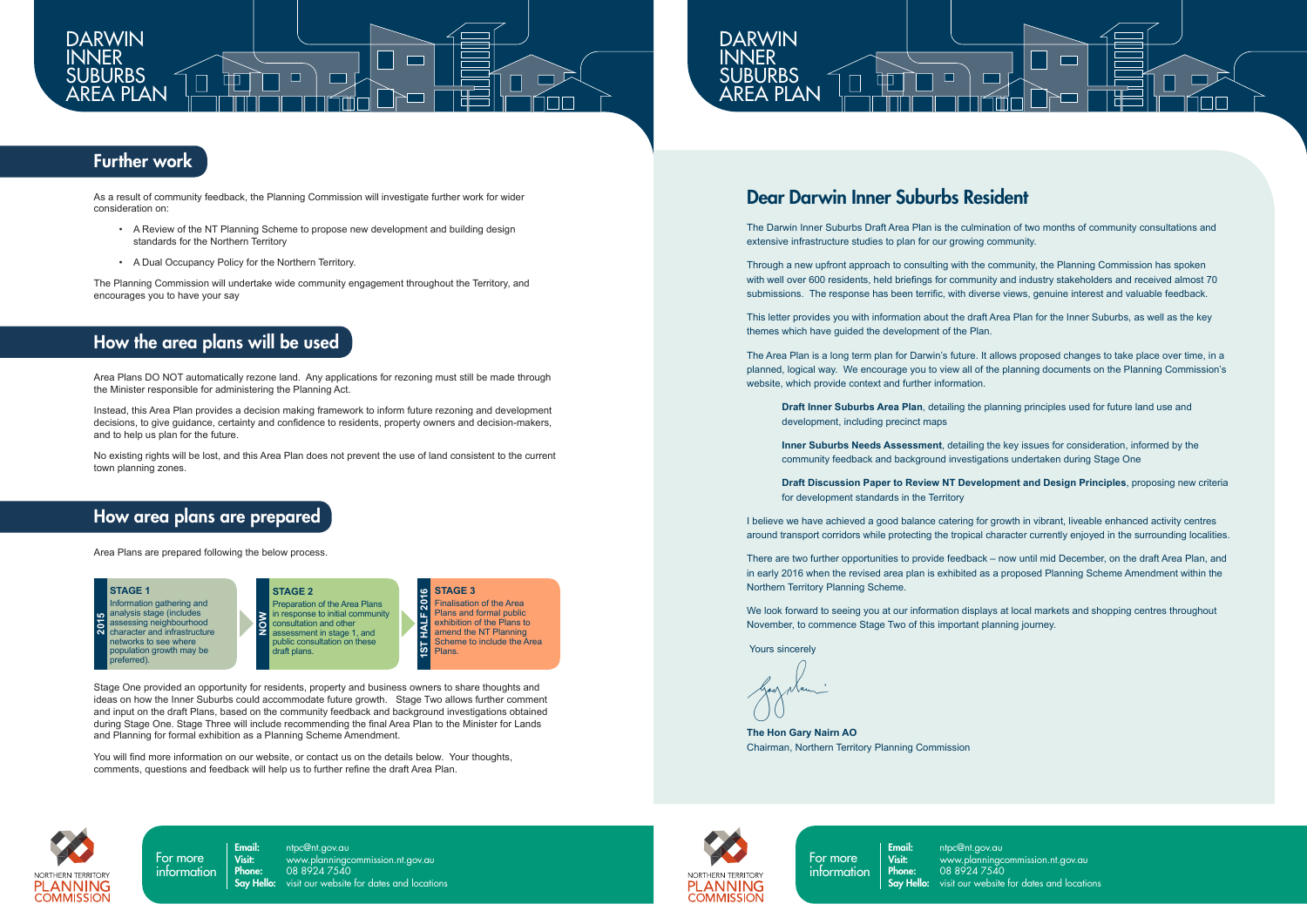

For more information

**Email:** ntpc@nt.gov.au<br>**Visit:** www.planninac **Phone:** 08 8924 7540

For more information

NORTHERN TERRITORY

**PLANNING** 

**COMMISSION** 

**Email:** ntpc@nt.gov.au<br>**Visit:** www.planninac Visit: www.planningcommission.nt.gov.au **Phone:** 08 8924 7540 **Say Hello:** visit our website for dates and locations



# **Further work**

## Dear Darwin Inner Suburbs Resident

The Darwin Inner Suburbs Draft Area Plan is the culmination of two months of community consultations and extensive infrastructure studies to plan for our growing community.

Through a new upfront approach to consulting with the community, the Planning Commission has spoken with well over 600 residents, held briefings for community and industry stakeholders and received almost 70 submissions. The response has been terrific, with diverse views, genuine interest and valuable feedback.

This letter provides you with information about the draft Area Plan for the Inner Suburbs, as well as the key themes which have guided the development of the Plan.

The Area Plan is a long term plan for Darwin's future. It allows proposed changes to take place over time, in a planned, logical way. We encourage you to view all of the planning documents on the Planning Commission's website, which provide context and further information.

**Draft Inner Suburbs Area Plan**, detailing the planning principles used for future land use and development, including precinct maps

**Inner Suburbs Needs Assessment**, detailing the key issues for consideration, informed by the community feedback and background investigations undertaken during Stage One

**Draft Discussion Paper to Review NT Development and Design Principles**, proposing new criteria for development standards in the Territory

I believe we have achieved a good balance catering for growth in vibrant, liveable enhanced activity centres around transport corridors while protecting the tropical character currently enjoyed in the surrounding localities.

There are two further opportunities to provide feedback – now until mid December, on the draft Area Plan, and in early 2016 when the revised area plan is exhibited as a proposed Planning Scheme Amendment within the Northern Territory Planning Scheme.

We look forward to seeing you at our information displays at local markets and shopping centres throughout November, to commence Stage Two of this important planning journey.

Yours sincerely

**The Hon Gary Nairn AO** Chairman, Northern Territory Planning Commission



As a result of community feedback, the Planning Commission will investigate further work for wider consideration on:

- A Review of the NT Planning Scheme to propose new development and building design standards for the Northern Territory
- A Dual Occupancy Policy for the Northern Territory.

The Planning Commission will undertake wide community engagement throughout the Territory, and encourages you to have your say

## How the area plans will be used

Area Plans DO NOT automatically rezone land. Any applications for rezoning must still be made through the Minister responsible for administering the Planning Act.

Instead, this Area Plan provides a decision making framework to inform future rezoning and development decisions, to give guidance, certainty and confidence to residents, property owners and decision-makers, and to help us plan for the future.

No existing rights will be lost, and this Area Plan does not prevent the use of land consistent to the current town planning zones.

## How area plans are prepared

Area Plans are prepared following the below process.

**STAGE 2**

**STAGE 1**  nformation gathering and analysis stage (includes assessing neighbourhood character and infrastructure networks to see where population growth may be preferred). **2015**

Preparation of the Area Plans in response to initial community consultation and other assessment in stage 1, and public consultation on these draft plans. **NOW**

**STAGE 3**   $\frac{6}{1}$ **S** Finalisation of the Area Plans and formal public **ST HALF** exhibition of the Plans to amend the NT Planning Scheme to include the Area Plans.

**1ST HALF 2016**

Stage One provided an opportunity for residents, property and business owners to share thoughts and ideas on how the Inner Suburbs could accommodate future growth. Stage Two allows further comment and input on the draft Plans, based on the community feedback and background investigations obtained during Stage One. Stage Three will include recommending the final Area Plan to the Minister for Lands and Planning for formal exhibition as a Planning Scheme Amendment.

You will find more information on our website, or contact us on the details below. Your thoughts, comments, questions and feedback will help us to further refine the draft Area Plan.